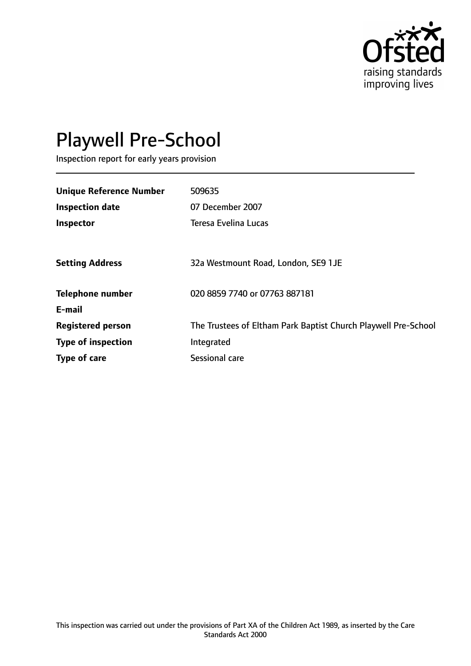

# Playwell Pre-School

Inspection report for early years provision

| <b>Unique Reference Number</b> | 509635                                                         |
|--------------------------------|----------------------------------------------------------------|
| <b>Inspection date</b>         | 07 December 2007                                               |
| Inspector                      | <b>Teresa Evelina Lucas</b>                                    |
|                                |                                                                |
| <b>Setting Address</b>         | 32a Westmount Road, London, SE9 1JE                            |
| <b>Telephone number</b>        | 020 8859 7740 or 07763 887181                                  |
| E-mail                         |                                                                |
| <b>Registered person</b>       | The Trustees of Eltham Park Baptist Church Playwell Pre-School |
| <b>Type of inspection</b>      | Integrated                                                     |
| Type of care                   | Sessional care                                                 |
|                                |                                                                |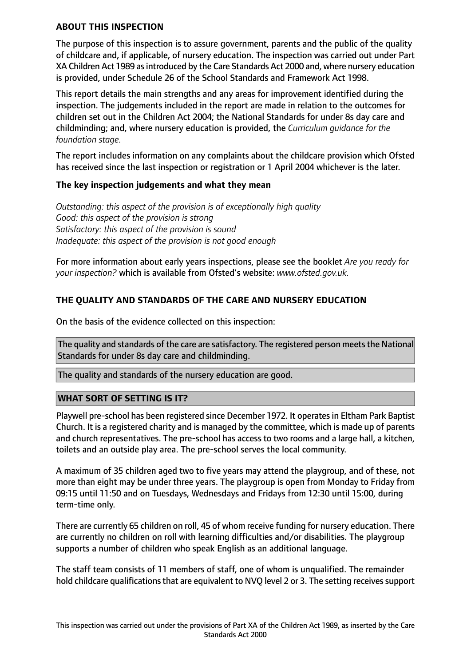## **ABOUT THIS INSPECTION**

The purpose of this inspection is to assure government, parents and the public of the quality of childcare and, if applicable, of nursery education. The inspection was carried out under Part XA Children Act 1989 as introduced by the Care Standards Act 2000 and, where nursery education is provided, under Schedule 26 of the School Standards and Framework Act 1998.

This report details the main strengths and any areas for improvement identified during the inspection. The judgements included in the report are made in relation to the outcomes for children set out in the Children Act 2004; the National Standards for under 8s day care and childminding; and, where nursery education is provided, the *Curriculum guidance for the foundation stage.*

The report includes information on any complaints about the childcare provision which Ofsted has received since the last inspection or registration or 1 April 2004 whichever is the later.

# **The key inspection judgements and what they mean**

*Outstanding: this aspect of the provision is of exceptionally high quality Good: this aspect of the provision is strong Satisfactory: this aspect of the provision is sound Inadequate: this aspect of the provision is not good enough*

For more information about early years inspections, please see the booklet *Are you ready for your inspection?* which is available from Ofsted's website: *www.ofsted.gov.uk.*

# **THE QUALITY AND STANDARDS OF THE CARE AND NURSERY EDUCATION**

On the basis of the evidence collected on this inspection:

The quality and standards of the care are satisfactory. The registered person meets the National Standards for under 8s day care and childminding.

The quality and standards of the nursery education are good.

# **WHAT SORT OF SETTING IS IT?**

Playwell pre-school has been registered since December 1972. It operatesin Eltham Park Baptist Church. It is a registered charity and is managed by the committee, which is made up of parents and church representatives. The pre-school has access to two rooms and a large hall, a kitchen, toilets and an outside play area. The pre-school serves the local community.

A maximum of 35 children aged two to five years may attend the playgroup, and of these, not more than eight may be under three years. The playgroup is open from Monday to Friday from 09:15 until 11:50 and on Tuesdays, Wednesdays and Fridays from 12:30 until 15:00, during term-time only.

There are currently 65 children on roll, 45 of whom receive funding for nursery education. There are currently no children on roll with learning difficulties and/or disabilities. The playgroup supports a number of children who speak English as an additional language.

The staff team consists of 11 members of staff, one of whom is unqualified. The remainder hold childcare qualifications that are equivalent to NVQ level 2 or 3. The setting receives support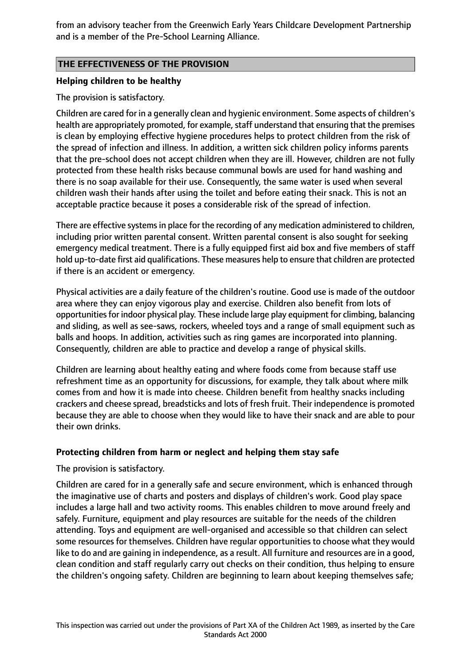from an advisory teacher from the Greenwich Early Years Childcare Development Partnership and is a member of the Pre-School Learning Alliance.

# **THE EFFECTIVENESS OF THE PROVISION**

## **Helping children to be healthy**

The provision is satisfactory.

Children are cared for in a generally clean and hygienic environment. Some aspects of children's health are appropriately promoted, for example, staff understand that ensuring that the premises is clean by employing effective hygiene procedures helps to protect children from the risk of the spread of infection and illness. In addition, a written sick children policy informs parents that the pre-school does not accept children when they are ill. However, children are not fully protected from these health risks because communal bowls are used for hand washing and there is no soap available for their use. Consequently, the same water is used when several children wash their hands after using the toilet and before eating their snack. This is not an acceptable practice because it poses a considerable risk of the spread of infection.

There are effective systemsin place for the recording of any medication administered to children, including prior written parental consent. Written parental consent is also sought for seeking emergency medical treatment. There is a fully equipped first aid box and five members of staff hold up-to-date first aid qualifications. These measures help to ensure that children are protected if there is an accident or emergency.

Physical activities are a daily feature of the children's routine. Good use is made of the outdoor area where they can enjoy vigorous play and exercise. Children also benefit from lots of opportunities for indoor physical play. These include large play equipment for climbing, balancing and sliding, as well as see-saws, rockers, wheeled toys and a range of small equipment such as balls and hoops. In addition, activities such as ring games are incorporated into planning. Consequently, children are able to practice and develop a range of physical skills.

Children are learning about healthy eating and where foods come from because staff use refreshment time as an opportunity for discussions, for example, they talk about where milk comes from and how it is made into cheese. Children benefit from healthy snacks including crackers and cheese spread, breadsticks and lots of fresh fruit. Their independence is promoted because they are able to choose when they would like to have their snack and are able to pour their own drinks.

#### **Protecting children from harm or neglect and helping them stay safe**

The provision is satisfactory.

Children are cared for in a generally safe and secure environment, which is enhanced through the imaginative use of charts and posters and displays of children's work. Good play space includes a large hall and two activity rooms. This enables children to move around freely and safely. Furniture, equipment and play resources are suitable for the needs of the children attending. Toys and equipment are well-organised and accessible so that children can select some resources for themselves. Children have regular opportunities to choose what they would like to do and are gaining in independence, as a result. All furniture and resources are in a good, clean condition and staff regularly carry out checks on their condition, thus helping to ensure the children's ongoing safety. Children are beginning to learn about keeping themselves safe;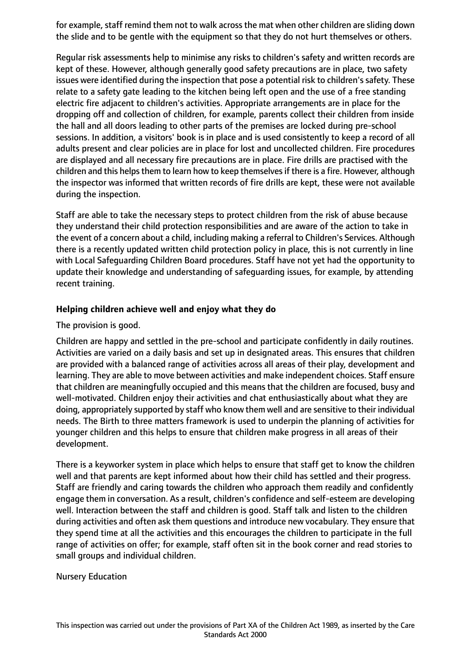for example, staff remind them not to walk across the mat when other children are sliding down the slide and to be gentle with the equipment so that they do not hurt themselves or others.

Regular risk assessments help to minimise any risks to children's safety and written records are kept of these. However, although generally good safety precautions are in place, two safety issues were identified during the inspection that pose a potential risk to children's safety. These relate to a safety gate leading to the kitchen being left open and the use of a free standing electric fire adjacent to children's activities. Appropriate arrangements are in place for the dropping off and collection of children, for example, parents collect their children from inside the hall and all doors leading to other parts of the premises are locked during pre-school sessions. In addition, a visitors' book is in place and is used consistently to keep a record of all adults present and clear policies are in place for lost and uncollected children. Fire procedures are displayed and all necessary fire precautions are in place. Fire drills are practised with the children and this helps them to learn how to keep themselves if there is a fire. However, although the inspector was informed that written records of fire drills are kept, these were not available during the inspection.

Staff are able to take the necessary steps to protect children from the risk of abuse because they understand their child protection responsibilities and are aware of the action to take in the event of a concern about a child, including making a referral to Children's Services. Although there is a recently updated written child protection policy in place, this is not currently in line with Local Safeguarding Children Board procedures. Staff have not yet had the opportunity to update their knowledge and understanding of safeguarding issues, for example, by attending recent training.

# **Helping children achieve well and enjoy what they do**

The provision is good.

Children are happy and settled in the pre-school and participate confidently in daily routines. Activities are varied on a daily basis and set up in designated areas. This ensures that children are provided with a balanced range of activities across all areas of their play, development and learning. They are able to move between activities and make independent choices. Staff ensure that children are meaningfully occupied and this means that the children are focused, busy and well-motivated. Children enjoy their activities and chat enthusiastically about what they are doing, appropriately supported by staff who know them well and are sensitive to their individual needs. The Birth to three matters framework is used to underpin the planning of activities for younger children and this helps to ensure that children make progress in all areas of their development.

There is a keyworker system in place which helps to ensure that staff get to know the children well and that parents are kept informed about how their child has settled and their progress. Staff are friendly and caring towards the children who approach them readily and confidently engage them in conversation. As a result, children's confidence and self-esteem are developing well. Interaction between the staff and children is good. Staff talk and listen to the children during activities and often ask them questions and introduce new vocabulary. They ensure that they spend time at all the activities and this encourages the children to participate in the full range of activities on offer; for example, staff often sit in the book corner and read stories to small groups and individual children.

Nursery Education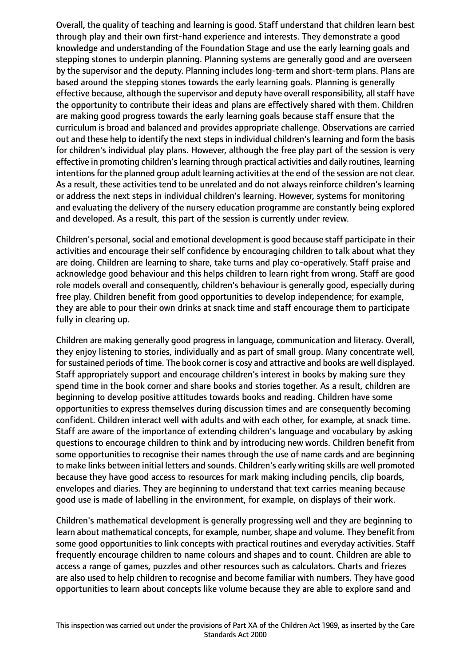Overall, the quality of teaching and learning is good. Staff understand that children learn best through play and their own first-hand experience and interests. They demonstrate a good knowledge and understanding of the Foundation Stage and use the early learning goals and stepping stones to underpin planning. Planning systems are generally good and are overseen by the supervisor and the deputy. Planning includes long-term and short-term plans. Plans are based around the stepping stones towards the early learning goals. Planning is generally effective because, although the supervisor and deputy have overall responsibility, all staff have the opportunity to contribute their ideas and plans are effectively shared with them. Children are making good progress towards the early learning goals because staff ensure that the curriculum is broad and balanced and provides appropriate challenge. Observations are carried out and these help to identify the next steps in individual children's learning and form the basis for children's individual play plans. However, although the free play part of the session is very effective in promoting children's learning through practical activities and daily routines, learning intentions for the planned group adult learning activities at the end of the session are not clear. As a result, these activities tend to be unrelated and do not always reinforce children's learning or address the next steps in individual children's learning. However, systems for monitoring and evaluating the delivery of the nursery education programme are constantly being explored and developed. As a result, this part of the session is currently under review.

Children's personal, social and emotional development is good because staff participate in their activities and encourage their self confidence by encouraging children to talk about what they are doing. Children are learning to share, take turns and play co-operatively. Staff praise and acknowledge good behaviour and this helps children to learn right from wrong. Staff are good role models overall and consequently, children's behaviour is generally good, especially during free play. Children benefit from good opportunities to develop independence; for example, they are able to pour their own drinks at snack time and staff encourage them to participate fully in clearing up.

Children are making generally good progress in language, communication and literacy. Overall, they enjoy listening to stories, individually and as part of small group. Many concentrate well, for sustained periods of time. The book corner is cosy and attractive and books are well displayed. Staff appropriately support and encourage children's interest in books by making sure they spend time in the book corner and share books and stories together. As a result, children are beginning to develop positive attitudes towards books and reading. Children have some opportunities to express themselves during discussion times and are consequently becoming confident. Children interact well with adults and with each other, for example, at snack time. Staff are aware of the importance of extending children's language and vocabulary by asking questions to encourage children to think and by introducing new words. Children benefit from some opportunities to recognise their names through the use of name cards and are beginning to make links between initial letters and sounds. Children's early writing skills are well promoted because they have good access to resources for mark making including pencils, clip boards, envelopes and diaries. They are beginning to understand that text carries meaning because good use is made of labelling in the environment, for example, on displays of their work.

Children's mathematical development is generally progressing well and they are beginning to learn about mathematical concepts, for example, number, shape and volume. They benefit from some good opportunities to link concepts with practical routines and everyday activities. Staff frequently encourage children to name colours and shapes and to count. Children are able to access a range of games, puzzles and other resources such as calculators. Charts and friezes are also used to help children to recognise and become familiar with numbers. They have good opportunities to learn about concepts like volume because they are able to explore sand and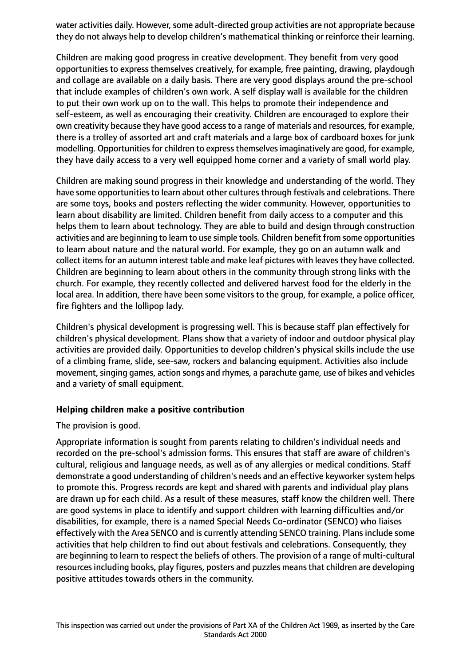water activities daily. However, some adult-directed group activities are not appropriate because they do not always help to develop children's mathematical thinking or reinforce their learning.

Children are making good progress in creative development. They benefit from very good opportunities to express themselves creatively, for example, free painting, drawing, playdough and collage are available on a daily basis. There are very good displays around the pre-school that include examples of children's own work. A self display wall is available for the children to put their own work up on to the wall. This helps to promote their independence and self-esteem, as well as encouraging their creativity. Children are encouraged to explore their own creativity because they have good access to a range of materials and resources, for example, there is a trolley of assorted art and craft materials and a large box of cardboard boxes for junk modelling. Opportunities for children to express themselves imaginatively are good, for example, they have daily access to a very well equipped home corner and a variety of small world play.

Children are making sound progress in their knowledge and understanding of the world. They have some opportunities to learn about other cultures through festivals and celebrations. There are some toys, books and posters reflecting the wider community. However, opportunities to learn about disability are limited. Children benefit from daily access to a computer and this helps them to learn about technology. They are able to build and design through construction activities and are beginning to learn to use simple tools. Children benefit from some opportunities to learn about nature and the natural world. For example, they go on an autumn walk and collect items for an autumn interest table and make leaf pictures with leaves they have collected. Children are beginning to learn about others in the community through strong links with the church. For example, they recently collected and delivered harvest food for the elderly in the local area. In addition, there have been some visitors to the group, for example, a police officer, fire fighters and the lollipop lady.

Children's physical development is progressing well. This is because staff plan effectively for children's physical development. Plans show that a variety of indoor and outdoor physical play activities are provided daily. Opportunities to develop children's physical skills include the use of a climbing frame, slide, see-saw, rockers and balancing equipment. Activities also include movement, singing games, action songs and rhymes, a parachute game, use of bikes and vehicles and a variety of small equipment.

#### **Helping children make a positive contribution**

The provision is good.

Appropriate information is sought from parents relating to children's individual needs and recorded on the pre-school's admission forms. This ensures that staff are aware of children's cultural, religious and language needs, as well as of any allergies or medical conditions. Staff demonstrate a good understanding of children's needs and an effective keyworker system helps to promote this. Progress records are kept and shared with parents and individual play plans are drawn up for each child. As a result of these measures, staff know the children well. There are good systems in place to identify and support children with learning difficulties and/or disabilities, for example, there is a named Special Needs Co-ordinator (SENCO) who liaises effectively with the Area SENCO and is currently attending SENCO training. Plans include some activities that help children to find out about festivals and celebrations. Consequently, they are beginning to learn to respect the beliefs of others. The provision of a range of multi-cultural resources including books, play figures, posters and puzzles means that children are developing positive attitudes towards others in the community.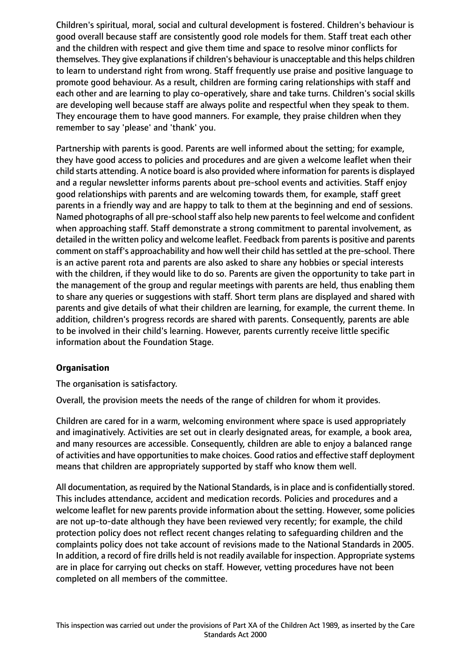Children's spiritual, moral, social and cultural development is fostered. Children's behaviour is good overall because staff are consistently good role models for them. Staff treat each other and the children with respect and give them time and space to resolve minor conflicts for themselves. They give explanations if children's behaviour is unacceptable and this helps children to learn to understand right from wrong. Staff frequently use praise and positive language to promote good behaviour. As a result, children are forming caring relationships with staff and each other and are learning to play co-operatively, share and take turns. Children's social skills are developing well because staff are always polite and respectful when they speak to them. They encourage them to have good manners. For example, they praise children when they remember to say 'please' and 'thank' you.

Partnership with parents is good. Parents are well informed about the setting; for example, they have good access to policies and procedures and are given a welcome leaflet when their child starts attending. A notice board is also provided where information for parents is displayed and a regular newsletter informs parents about pre-school events and activities. Staff enjoy good relationships with parents and are welcoming towards them, for example, staff greet parents in a friendly way and are happy to talk to them at the beginning and end of sessions. Named photographs of all pre-school staff also help new parents to feel welcome and confident when approaching staff. Staff demonstrate a strong commitment to parental involvement, as detailed in the written policy and welcome leaflet. Feedback from parents is positive and parents comment on staff's approachability and how well their child has settled at the pre-school. There is an active parent rota and parents are also asked to share any hobbies or special interests with the children, if they would like to do so. Parents are given the opportunity to take part in the management of the group and regular meetings with parents are held, thus enabling them to share any queries or suggestions with staff. Short term plans are displayed and shared with parents and give details of what their children are learning, for example, the current theme. In addition, children's progress records are shared with parents. Consequently, parents are able to be involved in their child's learning. However, parents currently receive little specific information about the Foundation Stage.

# **Organisation**

The organisation is satisfactory.

Overall, the provision meets the needs of the range of children for whom it provides.

Children are cared for in a warm, welcoming environment where space is used appropriately and imaginatively. Activities are set out in clearly designated areas, for example, a book area, and many resources are accessible. Consequently, children are able to enjoy a balanced range of activities and have opportunities to make choices. Good ratios and effective staff deployment means that children are appropriately supported by staff who know them well.

All documentation, as required by the National Standards, is in place and is confidentially stored. This includes attendance, accident and medication records. Policies and procedures and a welcome leaflet for new parents provide information about the setting. However, some policies are not up-to-date although they have been reviewed very recently; for example, the child protection policy does not reflect recent changes relating to safeguarding children and the complaints policy does not take account of revisions made to the National Standards in 2005. In addition, a record of fire drills held is not readily available for inspection. Appropriate systems are in place for carrying out checks on staff. However, vetting procedures have not been completed on all members of the committee.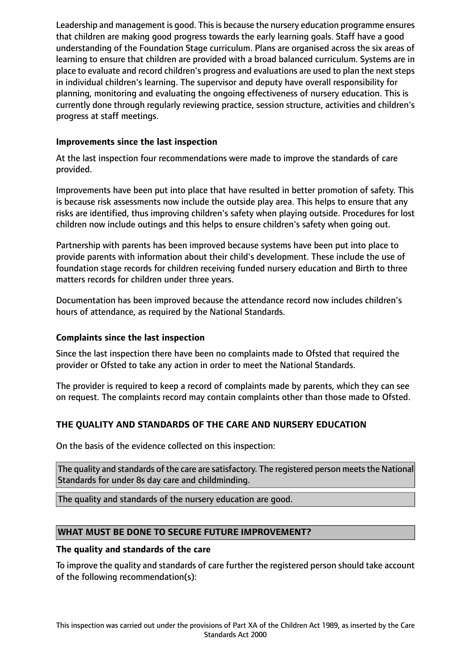Leadership and management is good. This is because the nursery education programme ensures that children are making good progress towards the early learning goals. Staff have a good understanding of the Foundation Stage curriculum. Plans are organised across the six areas of learning to ensure that children are provided with a broad balanced curriculum. Systems are in place to evaluate and record children's progress and evaluations are used to plan the next steps in individual children's learning. The supervisor and deputy have overall responsibility for planning, monitoring and evaluating the ongoing effectiveness of nursery education. This is currently done through regularly reviewing practice, session structure, activities and children's progress at staff meetings.

# **Improvements since the last inspection**

At the last inspection four recommendations were made to improve the standards of care provided.

Improvements have been put into place that have resulted in better promotion of safety. This is because risk assessments now include the outside play area. This helps to ensure that any risks are identified, thus improving children's safety when playing outside. Procedures for lost children now include outings and this helps to ensure children's safety when going out.

Partnership with parents has been improved because systems have been put into place to provide parents with information about their child's development. These include the use of foundation stage records for children receiving funded nursery education and Birth to three matters records for children under three years.

Documentation has been improved because the attendance record now includes children's hours of attendance, as required by the National Standards.

# **Complaints since the last inspection**

Since the last inspection there have been no complaints made to Ofsted that required the provider or Ofsted to take any action in order to meet the National Standards.

The provider is required to keep a record of complaints made by parents, which they can see on request. The complaints record may contain complaints other than those made to Ofsted.

# **THE QUALITY AND STANDARDS OF THE CARE AND NURSERY EDUCATION**

On the basis of the evidence collected on this inspection:

The quality and standards of the care are satisfactory. The registered person meets the National Standards for under 8s day care and childminding.

The quality and standards of the nursery education are good.

# **WHAT MUST BE DONE TO SECURE FUTURE IMPROVEMENT?**

# **The quality and standards of the care**

To improve the quality and standards of care further the registered person should take account of the following recommendation(s):